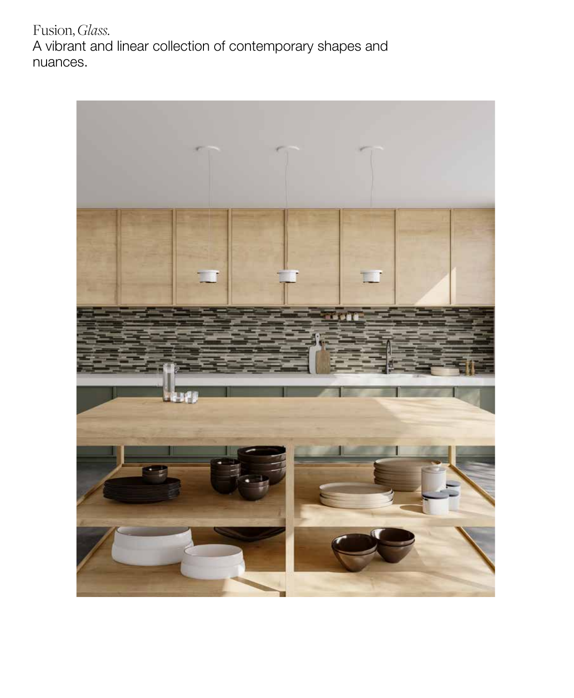Fusion, *Glass.* A vibrant and linear collection of contemporary shapes and nuances.

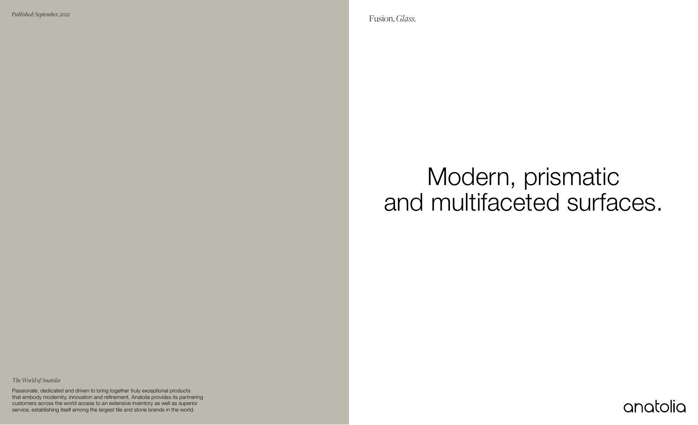Modern, prismatic and multifaceted surfaces.



Fusion, *Glass. Published: September, 2021*

2 *Glass* service, establishing itself among the largest tile and stone brands in the world. Passionate, dedicated and driven to bring together truly exceptional products that embody modernity, innovation and refinement. Anatolia provides its partnering customers across the world access to an extensive inventory as well as superior

*The World of Anatolia*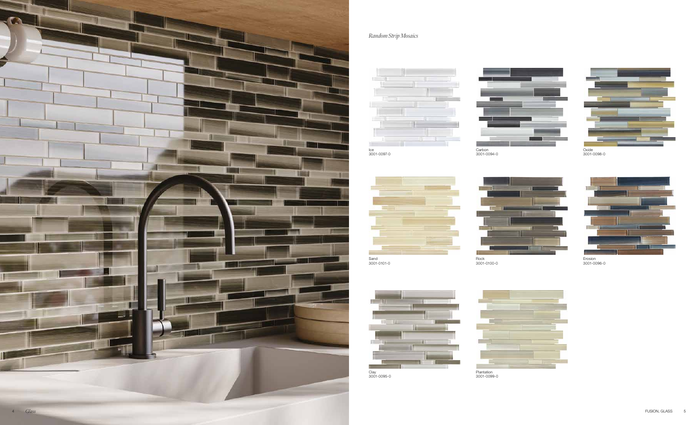#### *Random Strip Mosaics*



Rock 3001-0100-0



Plantation 3001-0099-0





Clay 3001-0095-0





Erosion 3001-0096-0



3001-0097-0





Carbon

3001-0094-0

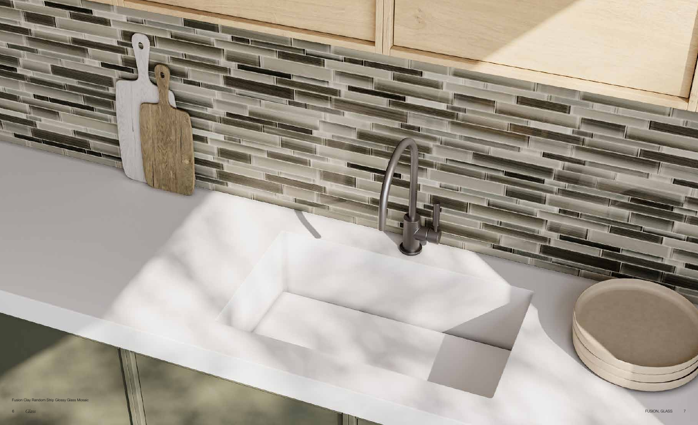Fusion Clay Random Strip Glossy Glass Mosaic

 $\blacksquare$ 



**IT THE**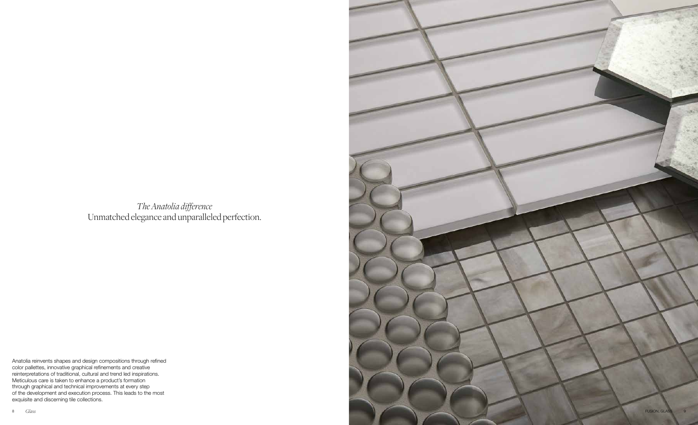*The Anatolia difference* Unmatched elegance and unparalleled perfection.

Anatolia reinvents shapes and design compositions through refined color pallettes, innovative graphical refinements and creative reinterpretations of traditional, cultural and trend led inspirations. Meticulous care is taken to enhance a product's formation through graphical and technical improvements at every step of the development and execution process. This leads to the most exquisite and discerning tile collections.

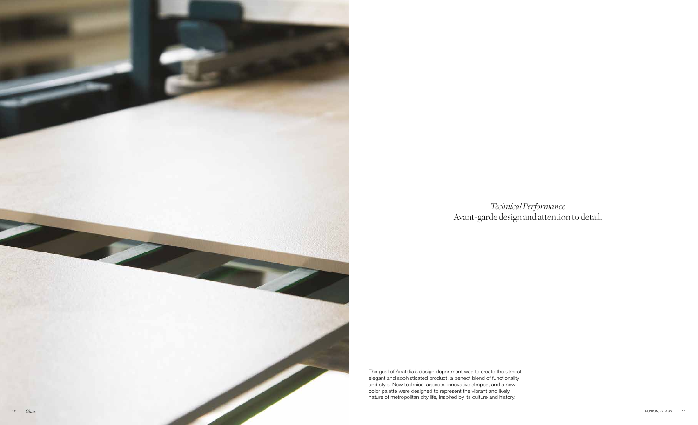*Technical Performance* Avant-garde design and attention to detail.

The goal of Anatolia's design department was to create the utmost elegant and sophisticated product, a perfect blend of functionality and style. New technical aspects, innovative shapes, and a new color palette were designed to represent the vibrant and lively nature of metropolitan city life, inspired by its culture and history.

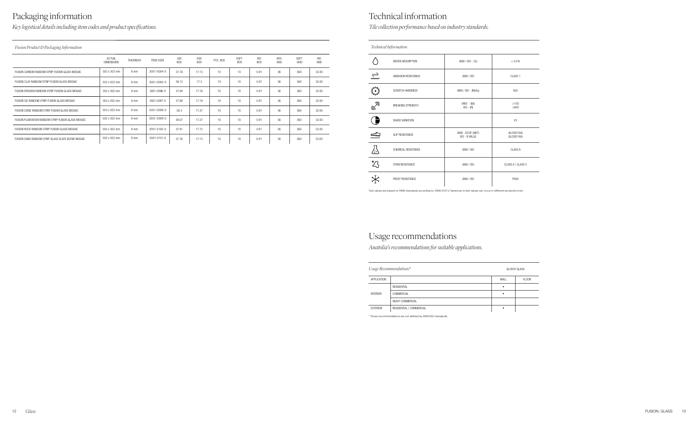### Packaging information

 *Fusion Product & Packaging Information*

*Key logistical details including item codes and product specifications.*

|                                                    | ACTUAL<br><b>DIMENSIONS</b> | <b>THICKNESS</b> | <b>ITEM CODE</b> | LBS<br><b>BOX</b> | KGS<br><b>BOX</b> | PCS BOX | SQFT<br><b>BOX</b> | M <sub>2</sub><br>BOX | <b>BXS</b><br><b>SKID</b> | SQFT<br><b>SKID</b> | M <sub>2</sub><br><b>SKID</b> |
|----------------------------------------------------|-----------------------------|------------------|------------------|-------------------|-------------------|---------|--------------------|-----------------------|---------------------------|---------------------|-------------------------------|
| FUSION CARBON RANDOM STRIP FUSION GLASS MOSAIC     | 302 x 302 mm                | 8 mm             | 3001-0094-0      | 37.76             | 17.13             | 10      | 10 <sup>1</sup>    | 0.91                  | 36                        | 360                 | 32.83                         |
| FUSION CLAY RANDOM STRIP FUSION GLASS MOSAIC       | 302 x 302 mm                | 8 mm             | 3001-0095-0      | 38.13             | 17.3              | 10      | 10                 | 0.91                  | 36                        | 360                 | 32.83                         |
| FUSION EROSION RANDOM STRIP FUSION GLASS MOSAIC    | 302 x 302 mm                | 8 mm             | 3001-0096-0      | 37.84             | 17.16             | 10      | 10 <sup>1</sup>    | 0.91                  | 36                        | 360                 | 32.83                         |
| FUSION ICE RANDOM STRIP FUSION GLASS MOSAIC        | 302 x 302 mm                | 8 mm             | 3001-0097-0      | 37.88             | 17.18             | 10      | 10                 | 0.91                  | 36                        | 360                 | 32.83                         |
| FUSION OXIDE RANDOM STRIP FUSION GLASS MOSAIC      | 302 x 302 mm                | 8 mm             | 3001-0098-0      | 38.3              | 17.37             | 10      | 10                 | 0.91                  | 36                        | 360                 | 32.83                         |
| FUSION PLANTATION RANDOM STRIP FUSION GLASS MOSAIC | 302 x 302 mm                | 8 mm             | 3001-0099-0      | 38.07             | 17.27             | 10      | 10                 | 0.91                  | 36                        | 360                 | 32.83                         |
| FUSION ROCK RANDOM STRIP FUSION GLASS MOSAIC       | 302 x 302 mm                | $8 \text{ mm}$   | 3001-0100-0      | 37.81             | 17.15             | 10      | 10                 | 0.91                  | 36                        | 360                 | 32.83                         |
| FUSION SAND RANDOM STRIP GLASS SLATE BLEND MOSAIC  | 302 x 302 mm                | $8 \text{ mm}$   | 3001-0101-0      | 37.76             | 17.13             | 10      | 10                 | 0.91                  | 36                        | 360                 | 32.83                         |

#### Technical information

| Usage Recommendations* |                          | <b>GLOSSY GLASS</b> |              |  |
|------------------------|--------------------------|---------------------|--------------|--|
| APPLICATION            |                          | WALL                | <b>FLOOR</b> |  |
| <b>INTERIOR</b>        | RESIDENTIAL              | ٠                   |              |  |
|                        | COMMERCIAL               | ٠                   |              |  |
|                        | <b>HEAVY COMMERCIAL</b>  |                     |              |  |
| <b>EXTERIOR</b>        | RESIDENTIAL / COMMERCIAL |                     |              |  |

\* These recommendations are not defined by ANSI/ISO standards.

| Technical Information |                          |                                           |                                        |  |  |
|-----------------------|--------------------------|-------------------------------------------|----------------------------------------|--|--|
|                       | WATER ABSORPTION         | ANSI / ISO - (%)                          | < 0.5%                                 |  |  |
| $\rightleftharpoons$  | ABRASION RESISTANCE      | ANSI / ISO                                | CLASS <sub>1</sub>                     |  |  |
|                       | <b>SCRATCH HARDNESS</b>  | ANSI / ISO - (Mohs)                       | N/A                                    |  |  |
| $\mathbb{R}^{\infty}$ | <b>BREAKING STRENGTH</b> | $ANSI - (Ibf)$<br>$ISO - (N)$             | >150<br>>650                           |  |  |
|                       | SHADE VARIATION          |                                           | V <sub>3</sub>                         |  |  |
|                       | <b>SLIP RESISTANCE</b>   | ANSI - DCOF (WET)<br><b>ISO - R VALUE</b> | <b>GLOSSY N/A</b><br><b>GLOSSY N/A</b> |  |  |
| <u>/;\</u>            | CHEMICAL RESISTANCE      | ANSI / ISO                                | <b>CLASS A</b>                         |  |  |
| $\frac{25}{4}$        | STAIN RESISTANCE         | ANSI / ISO                                | CLASS A / CLASS 5                      |  |  |
|                       | <b>FROST RESISTANCE</b>  | ANSI / ISO                                | PASS                                   |  |  |

## Usage recommendations

*Anatolia's recommendations for suitable applications.*

*Tile collection performance based on industry standards.*

Test values are based on ANSI standards according to: ANSI A137.2 Variances in test values can occur in different production lots.